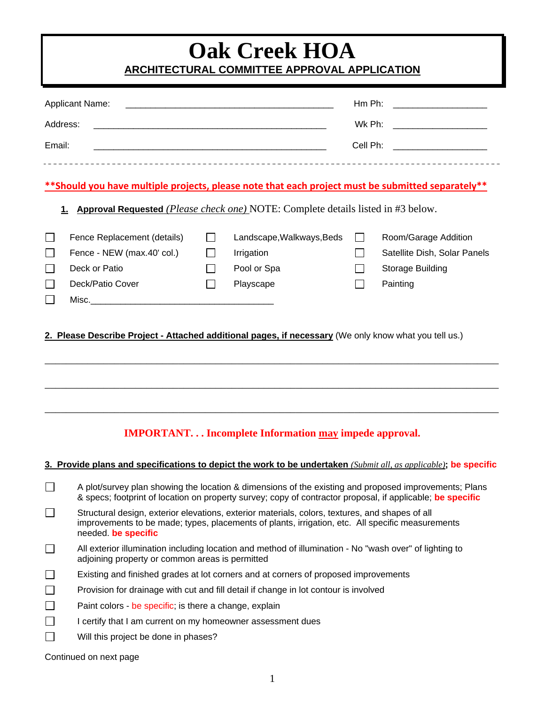# **Oak Creek HOA ARCHITECTURAL COMMITTEE APPROVAL APPLICATION**

| <b>Applicant Name:</b><br>Address:<br>Email:<br>**Should you have multiple projects, please note that each project must be submitted separately**                     |                                                                                                                                                                                                                                       |                    |                                                                     | Hm Ph: ______________________<br>Wk Ph: ______________________<br>Cell Ph: ____________________ |                                                                                      |  |  |
|-----------------------------------------------------------------------------------------------------------------------------------------------------------------------|---------------------------------------------------------------------------------------------------------------------------------------------------------------------------------------------------------------------------------------|--------------------|---------------------------------------------------------------------|-------------------------------------------------------------------------------------------------|--------------------------------------------------------------------------------------|--|--|
| <u>1.</u>                                                                                                                                                             | Approval Requested (Please check one) NOTE: Complete details listed in #3 below.                                                                                                                                                      |                    |                                                                     |                                                                                                 |                                                                                      |  |  |
|                                                                                                                                                                       | Fence Replacement (details)<br>Fence - NEW (max.40' col.)<br>Deck or Patio<br>Deck/Patio Cover                                                                                                                                        | $\perp$<br>$\perp$ | Landscape, Walkways, Beds<br>Irrigation<br>Pool or Spa<br>Playscape | $\perp$<br>$\mathsf{L}$                                                                         | Room/Garage Addition<br>Satellite Dish, Solar Panels<br>Storage Building<br>Painting |  |  |
| 2. Please Describe Project - Attached additional pages, if necessary (We only know what you tell us.)<br><b>IMPORTANT Incomplete Information may impede approval.</b> |                                                                                                                                                                                                                                       |                    |                                                                     |                                                                                                 |                                                                                      |  |  |
|                                                                                                                                                                       | 3. Provide plans and specifications to depict the work to be undertaken (Submit all, as applicable); be specific                                                                                                                      |                    |                                                                     |                                                                                                 |                                                                                      |  |  |
|                                                                                                                                                                       | A plot/survey plan showing the location & dimensions of the existing and proposed improvements; Plans<br>& specs; footprint of location on property survey; copy of contractor proposal, if applicable; be specific                   |                    |                                                                     |                                                                                                 |                                                                                      |  |  |
|                                                                                                                                                                       | Structural design, exterior elevations, exterior materials, colors, textures, and shapes of all<br>improvements to be made; types, placements of plants, irrigation, etc. All specific measurements<br>needed. be specific            |                    |                                                                     |                                                                                                 |                                                                                      |  |  |
|                                                                                                                                                                       | All exterior illumination including location and method of illumination - No "wash over" of lighting to<br>adjoining property or common areas is permitted                                                                            |                    |                                                                     |                                                                                                 |                                                                                      |  |  |
|                                                                                                                                                                       | Existing and finished grades at lot corners and at corners of proposed improvements<br>Provision for drainage with cut and fill detail if change in lot contour is involved<br>Paint colors - be specific; is there a change, explain |                    |                                                                     |                                                                                                 |                                                                                      |  |  |
| $\Box$                                                                                                                                                                | I certify that I am current on my homeowner assessment dues<br>Will this project be done in phases?                                                                                                                                   |                    |                                                                     |                                                                                                 |                                                                                      |  |  |

Continued on next page